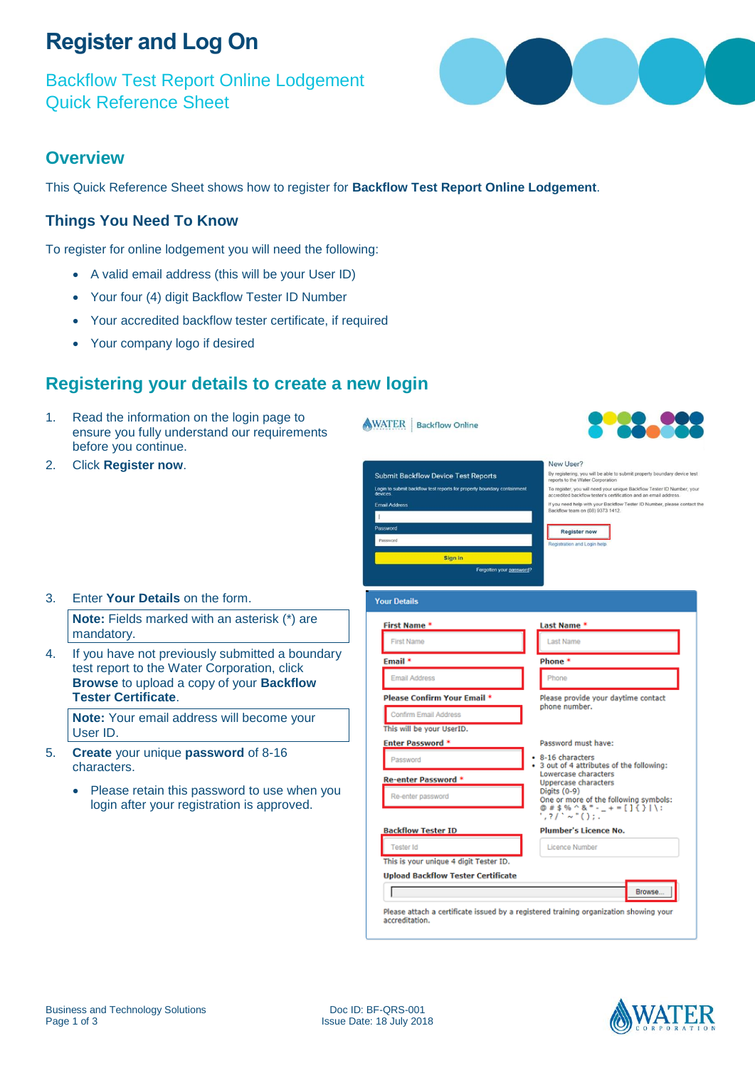## **Register and Log On**

Backflow Test Report Online Lodgement Quick Reference Sheet

### **Overview**

This Quick Reference Sheet shows how to register for **Backflow Test Report Online Lodgement**.

WATER | Backflow Online

#### **Things You Need To Know**

To register for online lodgement you will need the following:

- A valid email address (this will be your User ID)
- Your four (4) digit Backflow Tester ID Number
- Your accredited backflow tester certificate, if required
- Your company logo if desired

### **Registering your details to create a new login**

1. Read the information on the login page to ensure you fully understand our requirements before you continue.

**Note:** Fields marked with an asterisk (\*) are

4. If you have not previously submitted a boundary test report to the Water Corporation, click **Browse** to upload a copy of your **Backflow** 

**Note:** Your email address will become your

• Please retain this password to use when you login after your registration is approved.

5. **Create** your unique **password** of 8-16

2. Click **Register now**.

mandatory.

User ID.

characters.

**Tester Certificate**.

3. Enter **Your Details** on the form.

| <b>Submit Backflow Device Test Reports</b><br>reports to the Water Corporation<br>Login to submit backflow test reports for property boundary containment<br>devices.<br>accredited backflow tester's certification and an email address.<br><b>Email Address</b><br>Backflow team on (08) 9373 1412.<br>Password<br><b>Register now</b><br>Password<br>Registration and Login help<br>Sign in<br>Forgotten your password?<br><b>Your Details</b><br><b>First Name*</b><br>Last Name *<br><b>First Name</b><br><b>Last Name</b><br>Email <sup>*</sup><br>Phone *<br><b>Email Address</b><br>Phone<br><b>Please Confirm Your Email *</b><br>Please provide your daytime contact<br>phone number.<br>Confirm Email Address<br>This will be your UserID.<br><b>Enter Password *</b><br>Password must have:<br>• 8-16 characters<br>Password<br>3 out of 4 attributes of the following:<br>Lowercase characters<br>Re-enter Password *<br>Uppercase characters<br>Digits (0-9)<br>Re-enter password<br>One or more of the following symbols:<br>$@# $% ^8 - 1 + = []$ $()$<br>$1.71^{\circ} \sim 10.11$ .<br>Plumber's Licence No.<br><b>Backflow Tester ID</b><br><b>Tester Id</b><br>Licence Number | New User?                                                                |
|---------------------------------------------------------------------------------------------------------------------------------------------------------------------------------------------------------------------------------------------------------------------------------------------------------------------------------------------------------------------------------------------------------------------------------------------------------------------------------------------------------------------------------------------------------------------------------------------------------------------------------------------------------------------------------------------------------------------------------------------------------------------------------------------------------------------------------------------------------------------------------------------------------------------------------------------------------------------------------------------------------------------------------------------------------------------------------------------------------------------------------------------------------------------------------------------------|--------------------------------------------------------------------------|
|                                                                                                                                                                                                                                                                                                                                                                                                                                                                                                                                                                                                                                                                                                                                                                                                                                                                                                                                                                                                                                                                                                                                                                                                   | By registering, you will be able to submit property boundary device test |
|                                                                                                                                                                                                                                                                                                                                                                                                                                                                                                                                                                                                                                                                                                                                                                                                                                                                                                                                                                                                                                                                                                                                                                                                   | To register, you will need your unique Backflow Tester ID Number, your   |
|                                                                                                                                                                                                                                                                                                                                                                                                                                                                                                                                                                                                                                                                                                                                                                                                                                                                                                                                                                                                                                                                                                                                                                                                   | If you need help with your Backflow Tester ID Number, please contact the |
|                                                                                                                                                                                                                                                                                                                                                                                                                                                                                                                                                                                                                                                                                                                                                                                                                                                                                                                                                                                                                                                                                                                                                                                                   |                                                                          |
|                                                                                                                                                                                                                                                                                                                                                                                                                                                                                                                                                                                                                                                                                                                                                                                                                                                                                                                                                                                                                                                                                                                                                                                                   |                                                                          |
|                                                                                                                                                                                                                                                                                                                                                                                                                                                                                                                                                                                                                                                                                                                                                                                                                                                                                                                                                                                                                                                                                                                                                                                                   |                                                                          |
|                                                                                                                                                                                                                                                                                                                                                                                                                                                                                                                                                                                                                                                                                                                                                                                                                                                                                                                                                                                                                                                                                                                                                                                                   |                                                                          |
|                                                                                                                                                                                                                                                                                                                                                                                                                                                                                                                                                                                                                                                                                                                                                                                                                                                                                                                                                                                                                                                                                                                                                                                                   |                                                                          |
|                                                                                                                                                                                                                                                                                                                                                                                                                                                                                                                                                                                                                                                                                                                                                                                                                                                                                                                                                                                                                                                                                                                                                                                                   |                                                                          |
|                                                                                                                                                                                                                                                                                                                                                                                                                                                                                                                                                                                                                                                                                                                                                                                                                                                                                                                                                                                                                                                                                                                                                                                                   |                                                                          |
|                                                                                                                                                                                                                                                                                                                                                                                                                                                                                                                                                                                                                                                                                                                                                                                                                                                                                                                                                                                                                                                                                                                                                                                                   |                                                                          |
|                                                                                                                                                                                                                                                                                                                                                                                                                                                                                                                                                                                                                                                                                                                                                                                                                                                                                                                                                                                                                                                                                                                                                                                                   |                                                                          |
|                                                                                                                                                                                                                                                                                                                                                                                                                                                                                                                                                                                                                                                                                                                                                                                                                                                                                                                                                                                                                                                                                                                                                                                                   |                                                                          |
|                                                                                                                                                                                                                                                                                                                                                                                                                                                                                                                                                                                                                                                                                                                                                                                                                                                                                                                                                                                                                                                                                                                                                                                                   |                                                                          |
|                                                                                                                                                                                                                                                                                                                                                                                                                                                                                                                                                                                                                                                                                                                                                                                                                                                                                                                                                                                                                                                                                                                                                                                                   |                                                                          |
|                                                                                                                                                                                                                                                                                                                                                                                                                                                                                                                                                                                                                                                                                                                                                                                                                                                                                                                                                                                                                                                                                                                                                                                                   |                                                                          |
|                                                                                                                                                                                                                                                                                                                                                                                                                                                                                                                                                                                                                                                                                                                                                                                                                                                                                                                                                                                                                                                                                                                                                                                                   |                                                                          |
|                                                                                                                                                                                                                                                                                                                                                                                                                                                                                                                                                                                                                                                                                                                                                                                                                                                                                                                                                                                                                                                                                                                                                                                                   |                                                                          |
|                                                                                                                                                                                                                                                                                                                                                                                                                                                                                                                                                                                                                                                                                                                                                                                                                                                                                                                                                                                                                                                                                                                                                                                                   |                                                                          |
|                                                                                                                                                                                                                                                                                                                                                                                                                                                                                                                                                                                                                                                                                                                                                                                                                                                                                                                                                                                                                                                                                                                                                                                                   |                                                                          |
|                                                                                                                                                                                                                                                                                                                                                                                                                                                                                                                                                                                                                                                                                                                                                                                                                                                                                                                                                                                                                                                                                                                                                                                                   |                                                                          |
|                                                                                                                                                                                                                                                                                                                                                                                                                                                                                                                                                                                                                                                                                                                                                                                                                                                                                                                                                                                                                                                                                                                                                                                                   |                                                                          |
|                                                                                                                                                                                                                                                                                                                                                                                                                                                                                                                                                                                                                                                                                                                                                                                                                                                                                                                                                                                                                                                                                                                                                                                                   |                                                                          |
|                                                                                                                                                                                                                                                                                                                                                                                                                                                                                                                                                                                                                                                                                                                                                                                                                                                                                                                                                                                                                                                                                                                                                                                                   |                                                                          |
|                                                                                                                                                                                                                                                                                                                                                                                                                                                                                                                                                                                                                                                                                                                                                                                                                                                                                                                                                                                                                                                                                                                                                                                                   |                                                                          |
|                                                                                                                                                                                                                                                                                                                                                                                                                                                                                                                                                                                                                                                                                                                                                                                                                                                                                                                                                                                                                                                                                                                                                                                                   |                                                                          |
| This is your unique 4 digit Tester ID.                                                                                                                                                                                                                                                                                                                                                                                                                                                                                                                                                                                                                                                                                                                                                                                                                                                                                                                                                                                                                                                                                                                                                            |                                                                          |
| <b>Upload Backflow Tester Certificate</b>                                                                                                                                                                                                                                                                                                                                                                                                                                                                                                                                                                                                                                                                                                                                                                                                                                                                                                                                                                                                                                                                                                                                                         |                                                                          |
|                                                                                                                                                                                                                                                                                                                                                                                                                                                                                                                                                                                                                                                                                                                                                                                                                                                                                                                                                                                                                                                                                                                                                                                                   | Browse                                                                   |

Please attach a certificate issued by a registered training organization showing your accreditation.



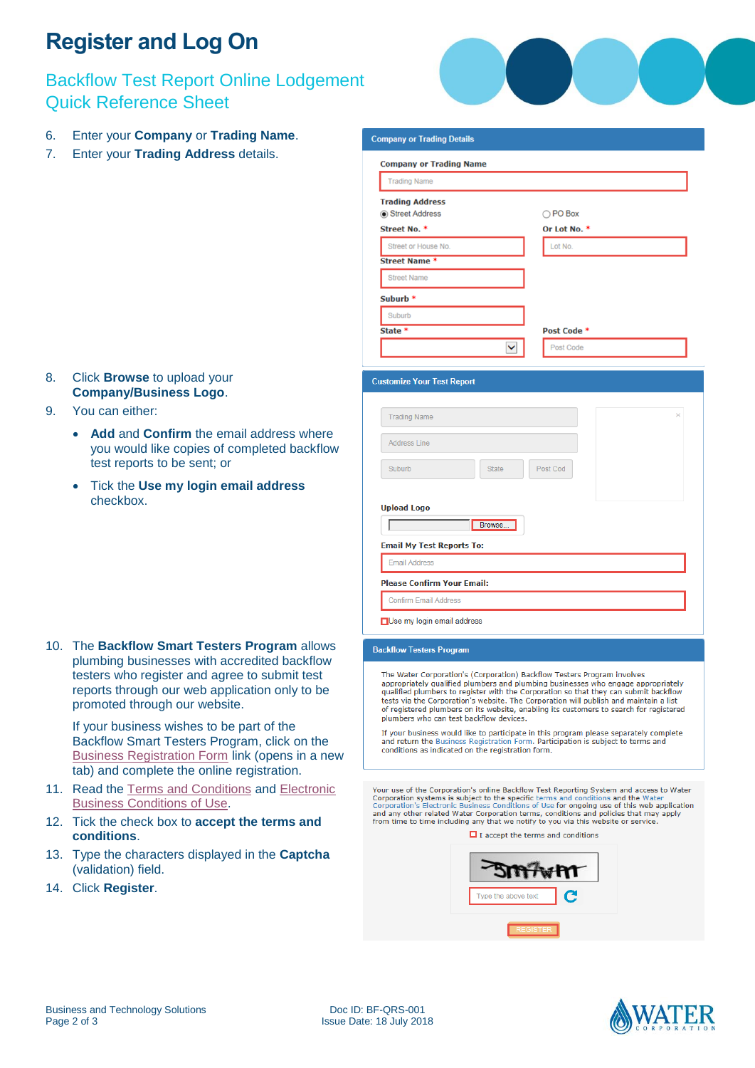# **Register and Log On**

### Backflow Test Report Online Lodgement Quick Reference Sheet

- 6. Enter your **Company** or **Trading Name**.
- 7. Enter your **Trading Address** details.

- 8. Click **Browse** to upload your **Company/Business Logo**.
- 9. You can either:
	- **Add** and **Confirm** the email address where you would like copies of completed backflow test reports to be sent; or
	- Tick the **Use my login email address**  checkbox.

10. The **Backflow Smart Testers Program** allows plumbing businesses with accredited backflow testers who register and agree to submit test reports through our web application only to be promoted through our website.

If your business wishes to be part of the Backflow Smart Testers Program, click on the [Business Registration Form](http://www.watercorporation.com.au/home/builders-and-developers/building/backflow-prevention/backflow-smart-testers-program) link (opens in a new tab) and complete the online registration.

- 11. Read the [Terms and Conditions](http://www.watercorporation.com.au/home/builders-and-developers/building/backflow-prevention/terms-and-conditions) and [Electronic](http://www.watercorporation.com.au/-/media/files/legal/electronic-business-conditions-of-use.pdf)  [Business Conditions of Use.](http://www.watercorporation.com.au/-/media/files/legal/electronic-business-conditions-of-use.pdf)
- 12. Tick the check box to **accept the terms and conditions**.
- 13. Type the characters displayed in the **Captcha** (validation) field.
- 14. Click **Register**.



| <b>Company or Trading Details</b>                                                                    |                          |
|------------------------------------------------------------------------------------------------------|--------------------------|
| <b>Company or Trading Name</b>                                                                       |                          |
| <b>Trading Name</b>                                                                                  |                          |
| <b>Trading Address</b>                                                                               |                          |
| Street Address<br>Street No. *                                                                       | ○ PO Box<br>Or Lot No. * |
| Street or House No.                                                                                  | Lot No.                  |
| <b>Street Name *</b>                                                                                 |                          |
| <b>Street Name</b>                                                                                   |                          |
| Suburb *                                                                                             |                          |
| Suburb                                                                                               |                          |
| State *                                                                                              | Post Code *              |
| ◡                                                                                                    | Post Code                |
| <b>Trading Name</b><br><b>Address Line</b><br>Suburb<br><b>State</b><br><b>Upload Logo</b><br>Browse | ×<br>Post Cod            |
| <b>Email My Test Reports To:</b>                                                                     |                          |
| <b>Email Address</b>                                                                                 |                          |
| <b>Please Confirm Your Email:</b>                                                                    |                          |
| <b>Confirm Email Address</b>                                                                         |                          |
| Use my login email address                                                                           |                          |
| <b>Backflow Testers Program</b>                                                                      |                          |
| The Medical Presidential Color<br><b>S</b> m                                                         |                          |

The Water Corporation's (Corporation) Backflow Testers Program involves<br>appropriately qualified plumbers and plumbing businesses who engage appropriately<br>qualified plumbers to register with the Corporation so that they can dentisties of the Corporation's website. The Corporation will publish and maintain a list<br>of registered plumbers on its website, enabling its customers to search for registered plumbers who can test backflow devices.

If your business would like to participate in this program please separately complete and return the Business Registration Form. Participation is subject to terms and conditions as indicated on the registration form.

Your use of the Corporation's online Backflow Test Reporting System and access to Water<br>Corporation systems is subject to the specific terms and conditions and the Water<br>Corporation's Electronic Business Conditions of Use and any other related Water Corporation terms, conditions and policies that may apply from time to time including any that we notify to you via this website or service.

 $\blacksquare$  I accept the terms and conditions